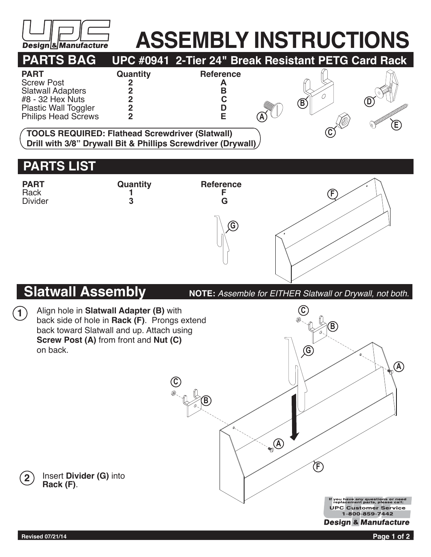

## **ASSEMBLY INSTRUCTIONS**



## **G F PART Quantity Reference**<br>Rack **1 F** Rack **1 F** Divider **3 G**

## **Slatwall Assembly**

**NOTE:** *Assemble for EITHER Slatwall or Drywall, not both.*